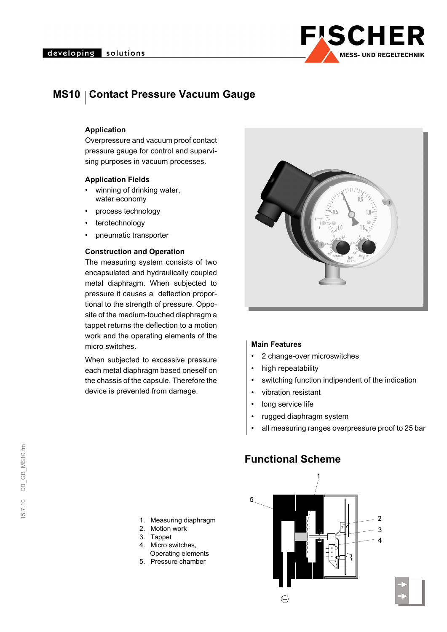

## **MS10 || Contact Pressure Vacuum Gauge**

#### **Application**

Overpressure and vacuum proof contact pressure gauge for control and supervising purposes in vacuum processes.

#### **Application Fields**

- winning of drinking water, water economy
- process technology
- terotechnology
- pneumatic transporter

### **Construction and Operation**

The measuring system consists of two encapsulated and hydraulically coupled metal diaphragm. When subjected to pressure it causes a deflection proportional to the strength of pressure. Opposite of the medium-touched diaphragm a tappet returns the deflection to a motion work and the operating elements of the micro switches.

When subjected to excessive pressure each metal diaphragm based oneself on the chassis of the capsule. Therefore the device is prevented from damage.



#### **Main Features**

- 2 change-over microswitches
- high repeatability
- switching function indipendent of the indication
- vibration resistant
- long service life
- rugged diaphragm system
- all measuring ranges overpressure proof to 25 bar

### **Functional Scheme**



- 1. Measuring diaphragm
- 2. Motion work
- 3. Tappet
- 4. Micro switches,
- Operating elements
- 5. Pressure chamber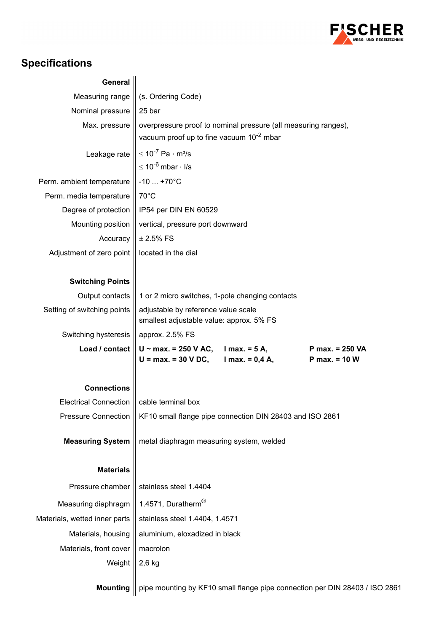

# **Specifications**

| <b>General</b>                |                                                                                 |  |  |  |  |  |  |  |  |  |
|-------------------------------|---------------------------------------------------------------------------------|--|--|--|--|--|--|--|--|--|
| Measuring range               | (s. Ordering Code)                                                              |  |  |  |  |  |  |  |  |  |
| Nominal pressure              | 25 bar                                                                          |  |  |  |  |  |  |  |  |  |
| Max. pressure                 | overpressure proof to nominal pressure (all measuring ranges),                  |  |  |  |  |  |  |  |  |  |
|                               | vacuum proof up to fine vacuum 10 <sup>-2</sup> mbar                            |  |  |  |  |  |  |  |  |  |
| Leakage rate                  | $\leq 10^{-7}$ Pa $\cdot$ m <sup>3</sup> /s                                     |  |  |  |  |  |  |  |  |  |
|                               | $\leq 10^{-6}$ mbar $\cdot$ I/s                                                 |  |  |  |  |  |  |  |  |  |
| Perm. ambient temperature     | $-10$ $+70^{\circ}$ C                                                           |  |  |  |  |  |  |  |  |  |
| Perm. media temperature       | $70^{\circ}$ C                                                                  |  |  |  |  |  |  |  |  |  |
| Degree of protection          | IP54 per DIN EN 60529                                                           |  |  |  |  |  |  |  |  |  |
| Mounting position             | vertical, pressure port downward                                                |  |  |  |  |  |  |  |  |  |
| Accuracy                      | $± 2.5%$ FS                                                                     |  |  |  |  |  |  |  |  |  |
| Adjustment of zero point      | located in the dial                                                             |  |  |  |  |  |  |  |  |  |
|                               |                                                                                 |  |  |  |  |  |  |  |  |  |
| <b>Switching Points</b>       |                                                                                 |  |  |  |  |  |  |  |  |  |
| Output contacts               | 1 or 2 micro switches, 1-pole changing contacts                                 |  |  |  |  |  |  |  |  |  |
| Setting of switching points   | adjustable by reference value scale<br>smallest adjustable value: approx. 5% FS |  |  |  |  |  |  |  |  |  |
| Switching hysteresis          | approx. 2.5% FS                                                                 |  |  |  |  |  |  |  |  |  |
| Load / contact                | $U \sim$ max. = 250 V AC, I max. = 5 A,<br>P max. = 250 VA                      |  |  |  |  |  |  |  |  |  |
|                               | $U = max. = 30 V DC,$ $Imax. = 0,4 A,$<br>$P$ max. = 10 W                       |  |  |  |  |  |  |  |  |  |
| <b>Connections</b>            |                                                                                 |  |  |  |  |  |  |  |  |  |
| <b>Electrical Connection</b>  | cable terminal box                                                              |  |  |  |  |  |  |  |  |  |
| <b>Pressure Connection</b>    | KF10 small flange pipe connection DIN 28403 and ISO 2861                        |  |  |  |  |  |  |  |  |  |
|                               |                                                                                 |  |  |  |  |  |  |  |  |  |
| <b>Measuring System</b>       | metal diaphragm measuring system, welded                                        |  |  |  |  |  |  |  |  |  |
|                               |                                                                                 |  |  |  |  |  |  |  |  |  |
| <b>Materials</b>              |                                                                                 |  |  |  |  |  |  |  |  |  |
| Pressure chamber              | stainless steel 1.4404                                                          |  |  |  |  |  |  |  |  |  |
| Measuring diaphragm           | 1.4571, Duratherm <sup>®</sup>                                                  |  |  |  |  |  |  |  |  |  |
| Materials, wetted inner parts | stainless steel 1.4404, 1.4571                                                  |  |  |  |  |  |  |  |  |  |
| Materials, housing            | aluminium, eloxadized in black                                                  |  |  |  |  |  |  |  |  |  |
| Materials, front cover        | macrolon                                                                        |  |  |  |  |  |  |  |  |  |
| Weight                        | $2,6$ kg                                                                        |  |  |  |  |  |  |  |  |  |
|                               |                                                                                 |  |  |  |  |  |  |  |  |  |
| <b>Mounting</b>               | pipe mounting by KF10 small flange pipe connection per DIN 28403 / ISO 2861     |  |  |  |  |  |  |  |  |  |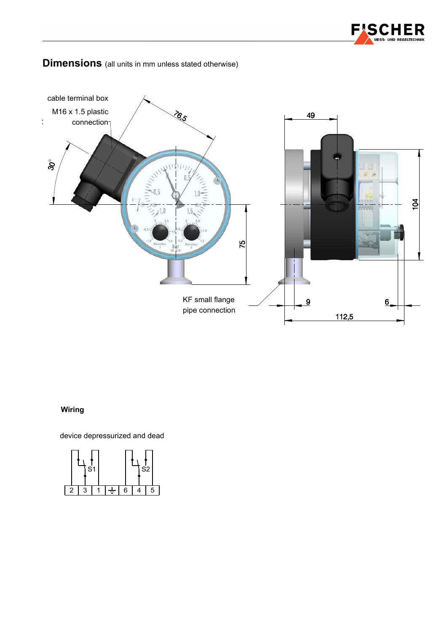



### **Dimensions** (all units in mm unless stated otherwise)

### **Wiring**

device depressurized and dead